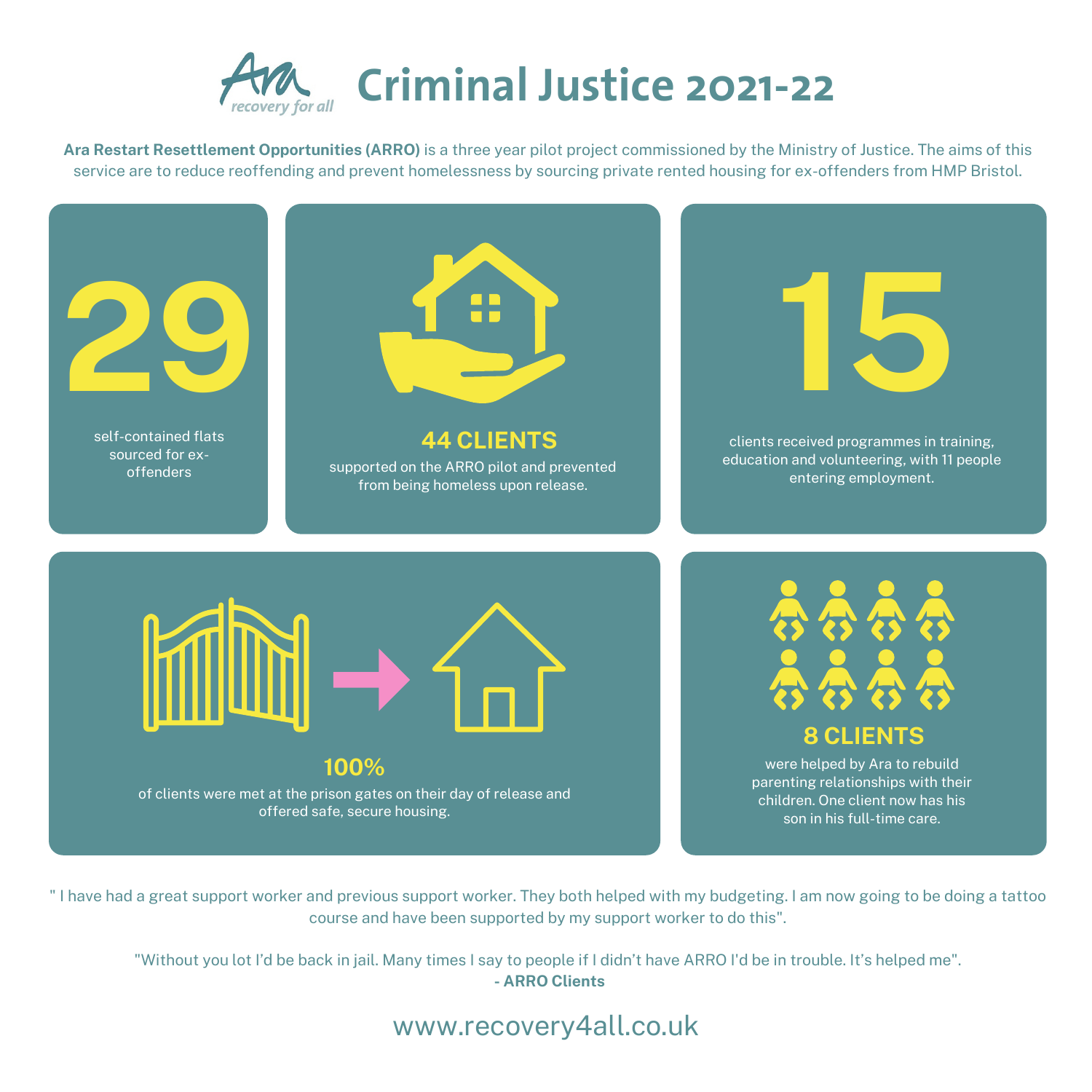

**Ara Restart Resettlement Opportunities (ARRO)** is a three year pilot project commissioned by the Ministry of Justice. The aims of this service are to reduce reoffending and prevent homelessness by sourcing private rented housing for ex-offenders from HMP Bristol.

of clients were met at the prison gates on their day of release and offered safe, secure housing.

## **100%**

www.recovery4all.co.uk

were helped by Ara to rebuild parenting relationships with their children. One client now has his son in his full-time care.









" I have had a great support worker and previous support worker. They both helped with my budgeting. I am now going to be doing a tattoo course and have been supported by my support worker to do this".

"Without you lot I'd be back in jail. Many times I say to people if I didn't have ARRO I'd be in trouble. It's helped me". **- ARRO Clients**